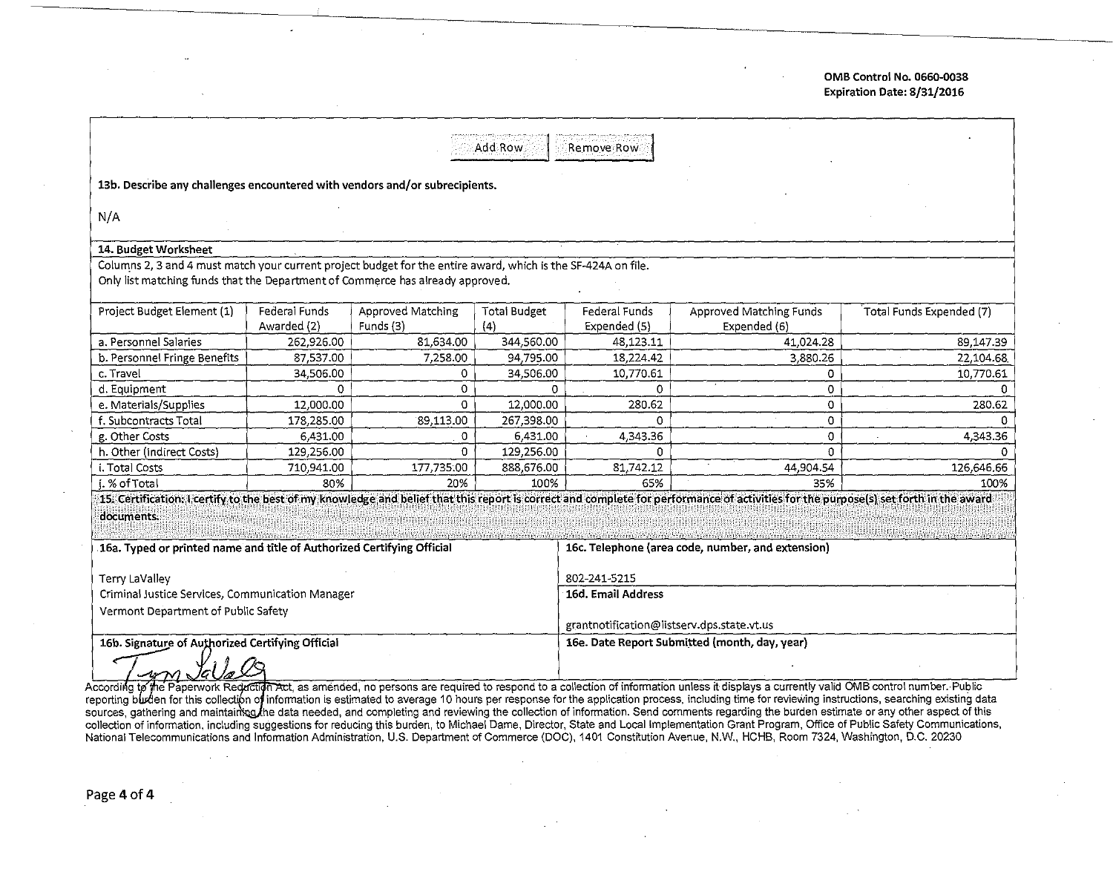OMB Control No. 0660-0038 Expiration Date: 8/31/2016

| Add Row<br>Remove Row                                                                                                                                                                              |                              |                                |                                                                                                                                                                                                       |                               |                                         |                          |  |  |  |  |
|----------------------------------------------------------------------------------------------------------------------------------------------------------------------------------------------------|------------------------------|--------------------------------|-------------------------------------------------------------------------------------------------------------------------------------------------------------------------------------------------------|-------------------------------|-----------------------------------------|--------------------------|--|--|--|--|
| 13b. Describe any challenges encountered with vendors and/or subrecipients.                                                                                                                        |                              |                                |                                                                                                                                                                                                       |                               |                                         |                          |  |  |  |  |
| N/A                                                                                                                                                                                                |                              |                                |                                                                                                                                                                                                       |                               |                                         |                          |  |  |  |  |
| 14. Budget Worksheet                                                                                                                                                                               |                              |                                |                                                                                                                                                                                                       |                               |                                         |                          |  |  |  |  |
| Columns 2, 3 and 4 must match your current project budget for the entire award, which is the SF-424A on file.<br>Only list matching funds that the Department of Commerce has already approved.    |                              |                                |                                                                                                                                                                                                       |                               |                                         |                          |  |  |  |  |
| Project Budget Element (1)                                                                                                                                                                         | Federal Funds<br>Awarded (2) | Approved Matching<br>Funds (3) | <b>Total Budget</b><br>(4)                                                                                                                                                                            | Federal Funds<br>Expended (5) | Approved Matching Funds<br>Expended (6) | Total Funds Expended (7) |  |  |  |  |
| a. Personnel Salaries                                                                                                                                                                              | 262,926.00                   | 81,634.00                      | 344,560.00                                                                                                                                                                                            | 48,123.11                     | 41,024.28                               | 89,147.39                |  |  |  |  |
| b. Personnel Fringe Benefits                                                                                                                                                                       | 87,537.00                    | 7,258.00                       | 94,795.00                                                                                                                                                                                             | 18,224.42                     | 3,880.26                                | 22,104.68                |  |  |  |  |
| c. Travel                                                                                                                                                                                          | 34,506.00                    | 0.                             | 34,506.00                                                                                                                                                                                             | 10,770.61                     | 0.                                      | 10,770.61                |  |  |  |  |
| d. Equipment                                                                                                                                                                                       | 0                            | 0                              | 0                                                                                                                                                                                                     | 0.                            | 0                                       |                          |  |  |  |  |
| e. Materials/Supplies                                                                                                                                                                              | 12,000.00                    | 0                              | 12,000.00                                                                                                                                                                                             | 280.62                        | 0                                       | 280.62                   |  |  |  |  |
| f. Subcontracts Total                                                                                                                                                                              | 178,285.00                   | 89,113.00                      | 267,398.00                                                                                                                                                                                            | 0                             | 0                                       |                          |  |  |  |  |
| g. Other Costs                                                                                                                                                                                     | 6,431.00                     | 0                              | 6,431.00                                                                                                                                                                                              | 4,343.36                      | 0                                       | 4,343.36                 |  |  |  |  |
| h. Other (indirect Costs)                                                                                                                                                                          | 129,256.00                   | O.                             | 129,256.00                                                                                                                                                                                            | n                             | $\Omega$                                |                          |  |  |  |  |
| i. Total Costs                                                                                                                                                                                     | 710,941.00                   | 177,735.00                     | 888,676.00                                                                                                                                                                                            | 81,742.12                     | 44,904.54                               | 126,646.66               |  |  |  |  |
| i. % of Total                                                                                                                                                                                      | 80%                          | 20%                            | 100%                                                                                                                                                                                                  | 65%                           | 35%                                     | 100%                     |  |  |  |  |
| 15. Certification: I certify to the best of my knowledge and belief that this report is correct and complete for performance of activities for the purpose(s) set forth in the award<br>documents. |                              |                                |                                                                                                                                                                                                       |                               |                                         |                          |  |  |  |  |
| 16a. Typed or printed name and title of Authorized Certifying Official                                                                                                                             |                              |                                | 16c. Telephone (area code, number, and extension)                                                                                                                                                     |                               |                                         |                          |  |  |  |  |
| Terry LaValley                                                                                                                                                                                     |                              |                                | 802-241-5215                                                                                                                                                                                          |                               |                                         |                          |  |  |  |  |
| Criminal Justice Services, Communication Manager                                                                                                                                                   |                              |                                | 16d. Email Address                                                                                                                                                                                    |                               |                                         |                          |  |  |  |  |
| Vermont Department of Public Safety                                                                                                                                                                |                              |                                | grantnotification@listserv.dps.state.vt.us                                                                                                                                                            |                               |                                         |                          |  |  |  |  |
| 16b. Signature of Authorized Certifying Official<br>ccording to the Paperwo                                                                                                                        |                              |                                | 16e. Date Report Submitted (month, day, year)<br>on Act as amended, no persons are required to respond to a collection of information unless it displays a currently valid OMB control number. Public |                               |                                         |                          |  |  |  |  |

A reporting to the Faperwork Regiding Hot, as aniented, no persons are required to respond to a conection of information directs it displays a currently valid OND conformation. Tupilot reporting burden for this collection of collection of information, including suggestions for reducing this burden, to Michael Dame, Director, State and Local Implementation Grant Program, Office of Public Safety Communications,<br>National Telecommunications and In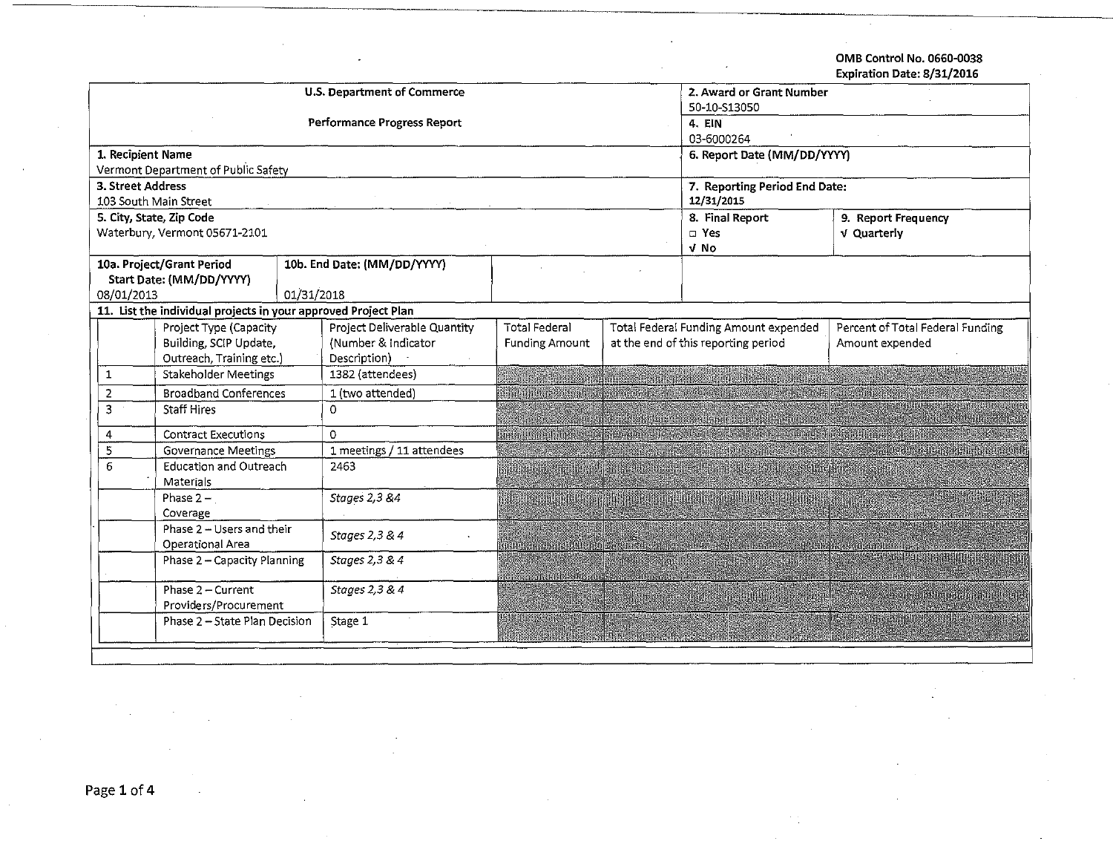OMS Control No. 0660-0038 Expiration Date: 8/31/2016

| <b>U.S. Department of Commerce</b>            |                                                                |                |                              |                                                              |  | 2. Award or Grant Number              |                                  |  |  |
|-----------------------------------------------|----------------------------------------------------------------|----------------|------------------------------|--------------------------------------------------------------|--|---------------------------------------|----------------------------------|--|--|
|                                               |                                                                |                |                              | 50-10-S13050                                                 |  |                                       |                                  |  |  |
|                                               |                                                                |                | Performance Progress Report  | 4. EIN                                                       |  |                                       |                                  |  |  |
|                                               |                                                                |                |                              |                                                              |  | 03-6000264                            |                                  |  |  |
|                                               | 1. Recipient Name                                              |                |                              |                                                              |  | 6. Report Date (MM/DD/YYYY)           |                                  |  |  |
|                                               | Vermont Department of Public Safety                            |                |                              |                                                              |  |                                       |                                  |  |  |
|                                               | 3. Street Address                                              |                |                              |                                                              |  | 7. Reporting Period End Date:         |                                  |  |  |
|                                               | 103 South Main Street                                          |                |                              |                                                              |  | 12/31/2015                            |                                  |  |  |
|                                               | 5. City, State, Zip Code                                       |                |                              |                                                              |  | 8. Final Report                       | 9. Report Frequency              |  |  |
|                                               | Waterbury, Vermont 05671-2101                                  |                |                              |                                                              |  | $\square$ Yes                         | <b>v</b> Quarterly               |  |  |
|                                               |                                                                |                |                              |                                                              |  | v No                                  |                                  |  |  |
|                                               | 10a. Project/Grant Period                                      |                | 10b. End Date: (MM/DD/YYYY)  |                                                              |  |                                       |                                  |  |  |
| 08/01/2013                                    | Start Date: (MM/DD/YYYY)                                       | 01/31/2018     |                              |                                                              |  |                                       |                                  |  |  |
|                                               | 11. List the individual projects in your approved Project Plan |                |                              |                                                              |  |                                       |                                  |  |  |
|                                               | Project Type (Capacity                                         |                | Project Deliverable Quantity | <b>Total Federal</b>                                         |  | Total Federal Funding Amount expended | Percent of Total Federal Funding |  |  |
|                                               | Building, SCIP Update,                                         |                | (Number & Indicator          | at the end of this reporting period<br><b>Funding Amount</b> |  |                                       | Amount expended                  |  |  |
|                                               | Outreach, Training etc.)                                       |                | Description)                 |                                                              |  |                                       |                                  |  |  |
| 1                                             | <b>Stakeholder Meetings</b>                                    |                | 1382 (attendees)             |                                                              |  |                                       |                                  |  |  |
| $\overline{2}$                                | <b>Broadband Conferences</b>                                   |                | 1 (two attended)             |                                                              |  |                                       |                                  |  |  |
| 3                                             | <b>Staff Hires</b>                                             |                | $\Omega$                     |                                                              |  |                                       |                                  |  |  |
| 4                                             | <b>Contract Executions</b>                                     |                | $\Omega$                     |                                                              |  |                                       |                                  |  |  |
| 5                                             | <b>Governance Meetings</b>                                     |                | 1 meetings / 11 attendees    |                                                              |  |                                       |                                  |  |  |
| <b>Education and Outreach</b><br>6            |                                                                |                | 2463                         |                                                              |  |                                       |                                  |  |  |
| Materials                                     |                                                                |                |                              |                                                              |  |                                       |                                  |  |  |
| Phase $2 - 1$                                 |                                                                |                | Stages 2,3 &4                |                                                              |  |                                       |                                  |  |  |
| Coverage                                      |                                                                |                |                              |                                                              |  |                                       |                                  |  |  |
| Phase 2 - Users and their<br>Operational Area |                                                                | Stages 2,3 & 4 |                              |                                                              |  |                                       |                                  |  |  |
| Phase 2 - Capacity Planning                   |                                                                |                | Stages 2,3 & 4               |                                                              |  |                                       |                                  |  |  |
| Phase 2 - Current<br>Providers/Procurement    |                                                                |                | Stages 2,3 & 4               |                                                              |  |                                       |                                  |  |  |
| Phase 2 - State Plan Decision                 |                                                                |                | Stage 1                      |                                                              |  |                                       |                                  |  |  |
|                                               |                                                                |                |                              |                                                              |  |                                       |                                  |  |  |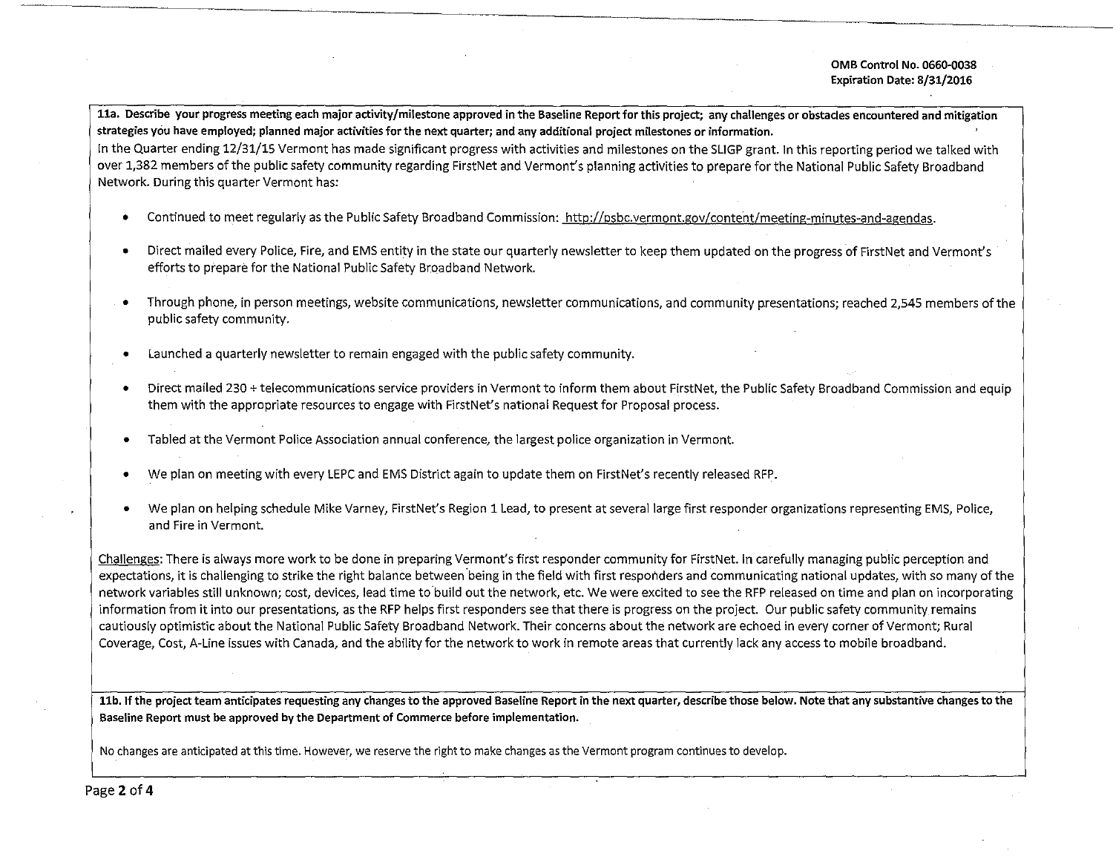**lla. Describe your progress meeting each major activity/milestone approved in the Baseline Report for this project; any challenges or obstacles encountered and mitigation strategies yciu have employed; planned major activities for the next quarter; and any additional project milestones or information.** 

In the Quarter ending 12/31/15 Vermont has made significant progress with activities and milestones on the SUGP grant. In this reporting period we talked with over 1,382 members of the public safety community regarding FirstNet and Vermont's planning activities to prepare for the National Public Safety Broadband Network. During this quarter Vermont has:

- Continued to meet regularly as the Public Safety Broadband Commission: http://psbc.vermont.gov/content/meeting-minutes-and-agendas.
- Direct mailed every Police, Fire, and EMS entity in the state our quarterly newsletter to keep them updated on the progress of FirstNet and Vermont's efforts to prepare for the National Public Safety Broadband Network.
- Through phone, in person meetings, website communications, newsletter communications, and community presentations; reached 2,545 members ofthe public safety community.
- Launched a quarterly newsletter to remain engaged with the public safety community.
- Direct mailed 230 +telecommunications service providers in Vermont to inform them about FirstNet, the Public Safety Broadband Commission and equip them with the appropriate resources to engage with FirstNet's national Request for Proposal process.
- Tabled at the Vermont Police Association annual conference, the largest police organization in Vermont
- We plan on meeting with every LEPC and EMS District again to update them on FirstNet's recently released RFP.
- We plan on helping schedule Mike Varney, FirstNet's Region 1 Lead, to present at several large first responder organizations representing EMS, Police, **and Fire in Vermont.**

Challenges: There is always more work to be done in preparing Vermont's first responder community for FirstNet. In carefully managing public perception and expectations, it is challenging to strike the right balance between being in the field with first responders and communicating national updates, with so many of the network variables still unknown; cost, devices, lead time to build out the network, etc. We were excited to see the RFP released on time and plan on incorporating information from it into our presentations, as the RFP helps first responders see that there is progress on the project. Our public safety community remains cautiously optimistic about the National Public Safety Broadband Network. Their concerns about the network are echoed in every corner of Vermont; Rural Coverage, Cost, A-Line issues with Canada, and the ability for the network to work in remote areas that currently lack any access to mobile broadband.

**llb. If the project team anticipates requesting any changes to the approved Baseline Report in the next quarter, describe those below. Note that any substantive changes to the Baseline Report must be approved by the Department of Commerce before implementation.** 

**No changes are anticipated at this time. However, we reserve the right to make changes as the Vermont program continues to develop.**